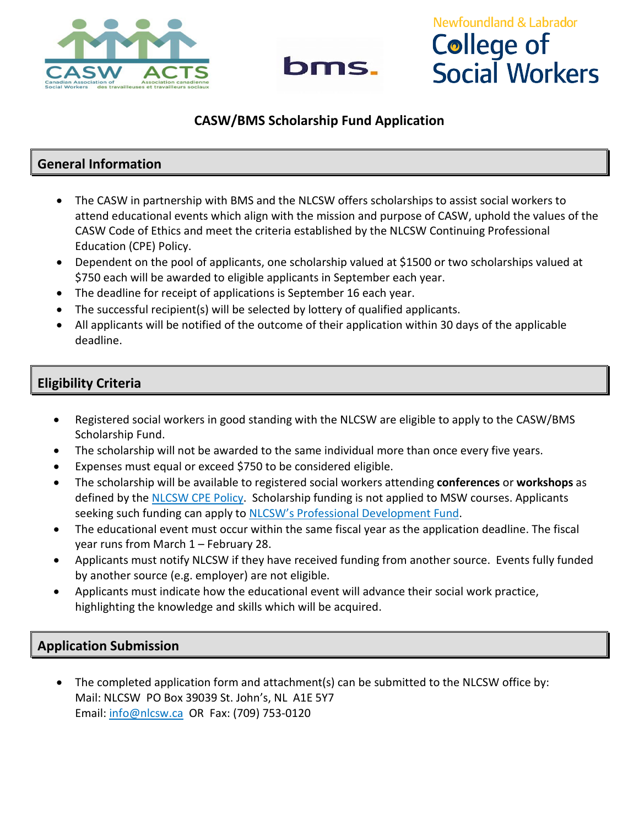



# **Newfoundland & Labrador College of Social Workers**

### **CASW/BMS Scholarship Fund Application**

### **General Information**

- The CASW in partnership with BMS and the NLCSW offers scholarships to assist social workers to attend educational events which align with the mission and purpose of CASW, uphold the values of the CASW Code of Ethics and meet the criteria established by the NLCSW Continuing Professional Education (CPE) Policy.
- Dependent on the pool of applicants, one scholarship valued at \$1500 or two scholarships valued at \$750 each will be awarded to eligible applicants in September each year.
- The deadline for receipt of applications is September 16 each year.
- The successful recipient(s) will be selected by lottery of qualified applicants.
- All applicants will be notified of the outcome of their application within 30 days of the applicable deadline.

## **Eligibility Criteria**

- Registered social workers in good standing with the NLCSW are eligible to apply to the CASW/BMS Scholarship Fund.
- The scholarship will not be awarded to the same individual more than once every five years.
- Expenses must equal or exceed \$750 to be considered eligible.
- The scholarship will be available to registered social workers attending **conferences** or **workshops** as defined by the [NLCSW CPE Policy.](https://nlcsw.ca/continuing-education) Scholarship funding is not applied to MSW courses. Applicants seeking such funding can apply to [NLCSW's Professional Development Fund.](https://nlcsw.ca/continuing-education/funding)
- The educational event must occur within the same fiscal year as the application deadline. The fiscal year runs from March 1 – February 28.
- Applicants must notify NLCSW if they have received funding from another source. Events fully funded by another source (e.g. employer) are not eligible.
- Applicants must indicate how the educational event will advance their social work practice, highlighting the knowledge and skills which will be acquired.

#### **Application Submission**

The completed application form and attachment(s) can be submitted to the NLCSW office by: Mail: NLCSW PO Box 39039 St. John's, NL A1E 5Y7 Email: [info@nlcsw.ca](mailto:info@nlcsw.ca) OR Fax: (709) 753-0120